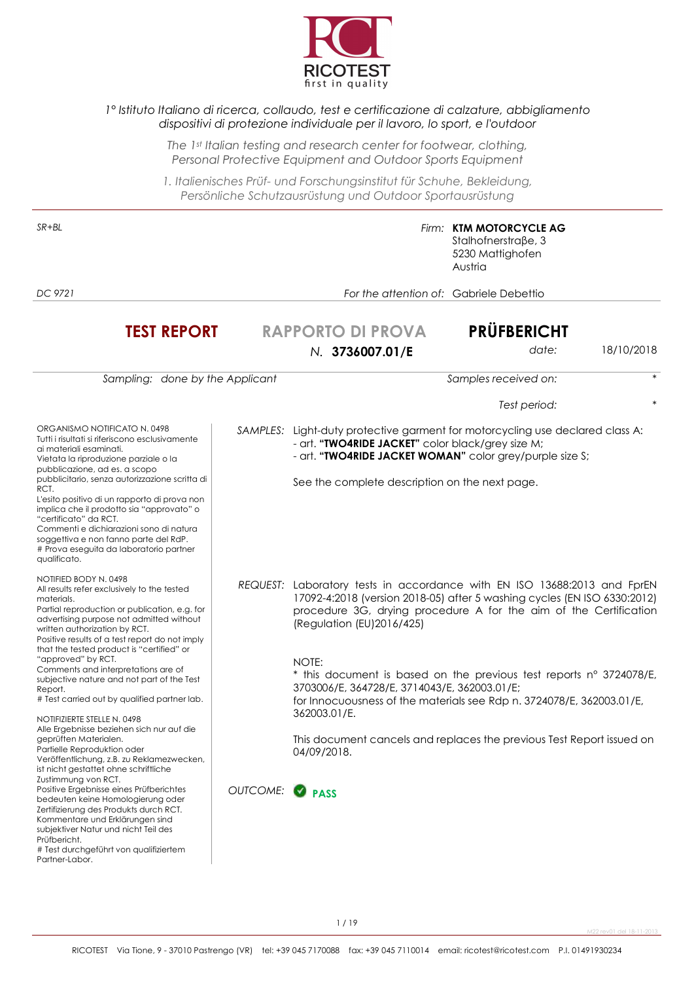

#### 1° Istituto Italiano di ricerca, collaudo, test e certificazione di calzature, abbigliamento dispositivi di protezione individuale per il lavoro, lo sport, e l'outdoor

The 1st Italian testing and research center for footwear, clothing, Personal Protective Equipment and Outdoor Sports Equipment

1. Italienisches Prüf- und Forschungsinstitut für Schuhe, Bekleidung, Persönliche Schutzausrüstung und Outdoor Sportausrüstung

| SR+BL                                                                                                                                                                                                                                                                                                                                                                                                                                                                                                                                                                                                                                                                                                                                                                                                                                                                                                                                                                                                                   |               |                                                                                                                                                                                                                                                                                                                                                                                                                                                                                                                                                                          | Firm: KTM MOTORCYCLE AG<br>Stalhofnerstraße, 3<br>5230 Mattighofen<br>Austria |            |
|-------------------------------------------------------------------------------------------------------------------------------------------------------------------------------------------------------------------------------------------------------------------------------------------------------------------------------------------------------------------------------------------------------------------------------------------------------------------------------------------------------------------------------------------------------------------------------------------------------------------------------------------------------------------------------------------------------------------------------------------------------------------------------------------------------------------------------------------------------------------------------------------------------------------------------------------------------------------------------------------------------------------------|---------------|--------------------------------------------------------------------------------------------------------------------------------------------------------------------------------------------------------------------------------------------------------------------------------------------------------------------------------------------------------------------------------------------------------------------------------------------------------------------------------------------------------------------------------------------------------------------------|-------------------------------------------------------------------------------|------------|
| DC 9721                                                                                                                                                                                                                                                                                                                                                                                                                                                                                                                                                                                                                                                                                                                                                                                                                                                                                                                                                                                                                 |               | For the attention of: Gabriele Debettio                                                                                                                                                                                                                                                                                                                                                                                                                                                                                                                                  |                                                                               |            |
| <b>TEST REPORT</b>                                                                                                                                                                                                                                                                                                                                                                                                                                                                                                                                                                                                                                                                                                                                                                                                                                                                                                                                                                                                      |               | <b>RAPPORTO DI PROVA</b><br>N. 3736007.01/E                                                                                                                                                                                                                                                                                                                                                                                                                                                                                                                              | <b>PRÜFBERICHT</b><br>date:                                                   | 18/10/2018 |
| Sampling: done by the Applicant                                                                                                                                                                                                                                                                                                                                                                                                                                                                                                                                                                                                                                                                                                                                                                                                                                                                                                                                                                                         |               |                                                                                                                                                                                                                                                                                                                                                                                                                                                                                                                                                                          | Samples received on:                                                          |            |
|                                                                                                                                                                                                                                                                                                                                                                                                                                                                                                                                                                                                                                                                                                                                                                                                                                                                                                                                                                                                                         |               |                                                                                                                                                                                                                                                                                                                                                                                                                                                                                                                                                                          | Test period:                                                                  |            |
| ORGANISMO NOTIFICATO N. 0498<br>Tutti i risultati si riferiscono esclusivamente<br>ai materiali esaminati.<br>Vietata la riproduzione parziale o la<br>pubblicazione, ad es. a scopo<br>pubblicitario, senza autorizzazione scritta di<br>RCT.<br>L'esito positivo di un rapporto di prova non<br>implica che il prodotto sia "approvato" o<br>"certificato" da RCT.<br>Commenti e dichiarazioni sono di natura<br>soggettiva e non fanno parte del RdP.<br># Prova eseguita da laboratorio partner<br>qualificato.                                                                                                                                                                                                                                                                                                                                                                                                                                                                                                     |               | SAMPLES: Light-duty protective garment for motorcycling use declared class A:<br>- art. "TWO4RIDE JACKET" color black/grey size M;<br>- art. "TWO4RIDE JACKET WOMAN" color grey/purple size S;<br>See the complete description on the next page.                                                                                                                                                                                                                                                                                                                         |                                                                               |            |
| NOTIFIED BODY N. 0498<br>All results refer exclusively to the tested<br>materials.<br>Partial reproduction or publication, e.g. for<br>advertising purpose not admitted without<br>written authorization by RCT.<br>Positive results of a test report do not imply<br>that the tested product is "certified" or<br>"approved" by RCT.<br>Comments and interpretations are of<br>subjective nature and not part of the Test<br>Report.<br># Test carried out by qualified partner lab.<br>NOTIFIZIERTE STELLE N. 0498<br>Alle Ergebnisse beziehen sich nur auf die<br>geprüften Materialen.<br>Partielle Reproduktion oder<br>Veröffentlichung, z.B. zu Reklamezwecken,<br>ist nicht gestattet ohne schriftliche<br>Zustimmung von RCT.<br>Positive Ergebnisse eines Prüfberichtes<br>bedeuten keine Homologierung oder<br>Zertifizierung des Produkts durch RCT.<br>Kommentare und Erklärungen sind<br>subjektiver Natur und nicht Teil des<br>Prüfbericht.<br># Test durchgeführt von qualifiziertem<br>Partner-Labor. | OUTCOME: PASS | REQUEST: Laboratory tests in accordance with EN ISO 13688:2013 and FprEN<br>17092-4:2018 (version 2018-05) after 5 washing cycles (EN ISO 6330:2012)<br>procedure 3G, drying procedure A for the aim of the Certification<br>(Regulation (EU) 2016/425)<br>NOTE:<br>* this document is based on the previous test reports n° 3724078/E,<br>3703006/E, 364728/E, 3714043/E, 362003.01/E;<br>for Innocuousness of the materials see Rdp n. 3724078/E, 362003.01/E,<br>362003.01/E.<br>This document cancels and replaces the previous Test Report issued on<br>04/09/2018. |                                                                               |            |

M22 rev01 del 18-11-2013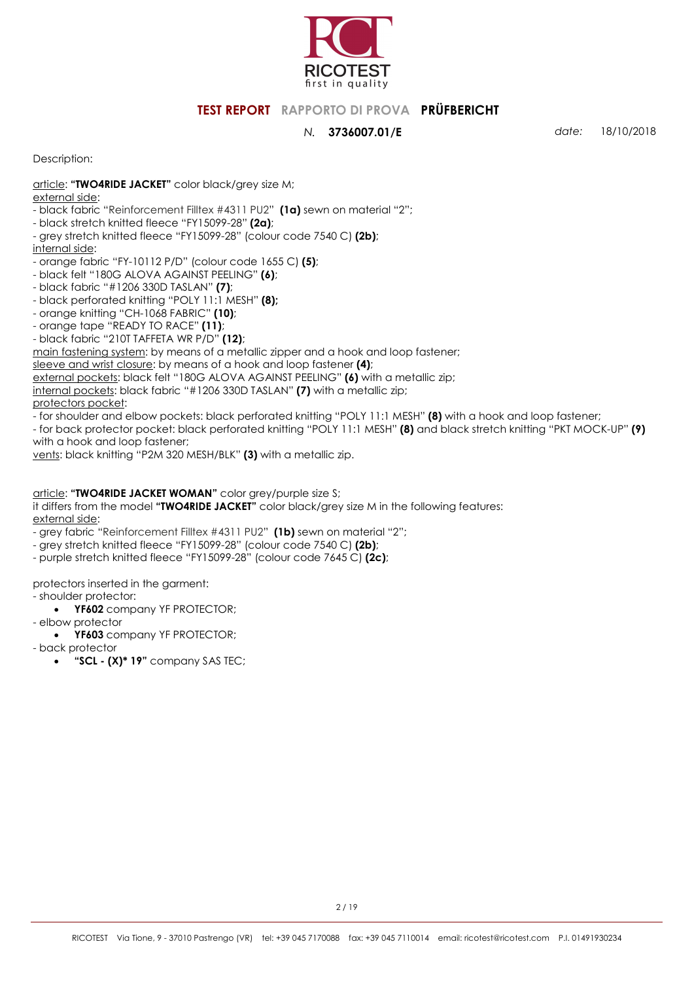

N. 3736007.01/E date: 18/10/2018

Description:

article: "TWO4RIDE JACKET" color black/grey size M;

external side:

- black fabric "Reinforcement Filltex #4311 PU2" (1a) sewn on material "2";

- black stretch knitted fleece "FY15099-28" (2a);

- grey stretch knitted fleece "FY15099-28" (colour code 7540 C) (2b); internal side:

- orange fabric "FY-10112 P/D" (colour code 1655 C) (5);

- black felt "180G ALOVA AGAINST PEELING" (6);

- black fabric "#1206 330D TASLAN" (7);

- black perforated knitting "POLY 11:1 MESH" (8);

- orange knitting "CH-1068 FABRIC" (10);

- orange tape "READY TO RACE" (11);

- black fabric "210T TAFFETA WR P/D" (12);

main fastening system: by means of a metallic zipper and a hook and loop fastener;

sleeve and wrist closure: by means of a hook and loop fastener (4);

external pockets: black felt "180G ALOVA AGAINST PEELING" (6) with a metallic zip;

internal pockets: black fabric "#1206 330D TASLAN" (7) with a metallic zip;

protectors pocket:

- for shoulder and elbow pockets: black perforated knitting "POLY 11:1 MESH" (8) with a hook and loop fastener;

- for back protector pocket: black perforated knitting "POLY 11:1 MESH" (8) and black stretch knitting "PKT MOCK-UP" (9) with a hook and loop fastener;

vents: black knitting "P2M 320 MESH/BLK" (3) with a metallic zip.

#### article: "TWO4RIDE JACKET WOMAN" color grey/purple size S;

it differs from the model "TWO4RIDE JACKET" color black/grey size M in the following features: external side:

- grey fabric "Reinforcement Filltex #4311 PU2" (1b) sewn on material "2";

- grey stretch knitted fleece "FY15099-28" (colour code 7540 C) (2b);

- purple stretch knitted fleece "FY15099-28" (colour code 7645 C) (2c);

protectors inserted in the garment:

- shoulder protector:

• YF602 company YF PROTECTOR;

- elbow protector

• YF603 company YF PROTECTOR;

- back protector

 $\bullet$  "SCL  $\text{-}$   $(X)^*$  19" company SAS TEC;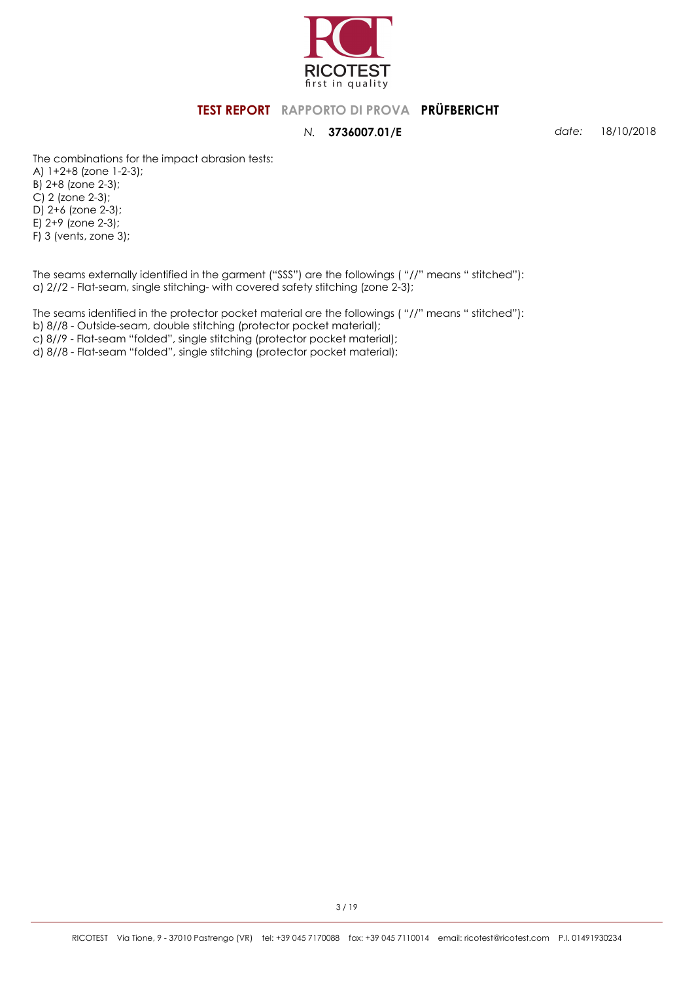

#### N. 3736007.01/E date: 18/10/2018

The combinations for the impact abrasion tests:

A) 1+2+8 (zone 1-2-3); B) 2+8 (zone 2-3); C) 2 (zone 2-3); D) 2+6 (zone 2-3); E) 2+9 (zone 2-3); F) 3 (vents, zone 3);

The seams externally identified in the garment ("SSS") are the followings ( "//" means " stitched"): a) 2//2 - Flat-seam, single stitching- with covered safety stitching (zone 2-3);

The seams identified in the protector pocket material are the followings ( "//" means " stitched"):

b) 8//8 - Outside-seam, double stitching (protector pocket material); c) 8//9 - Flat-seam "folded", single stitching (protector pocket material);

d) 8//8 - Flat-seam "folded", single stitching (protector pocket material);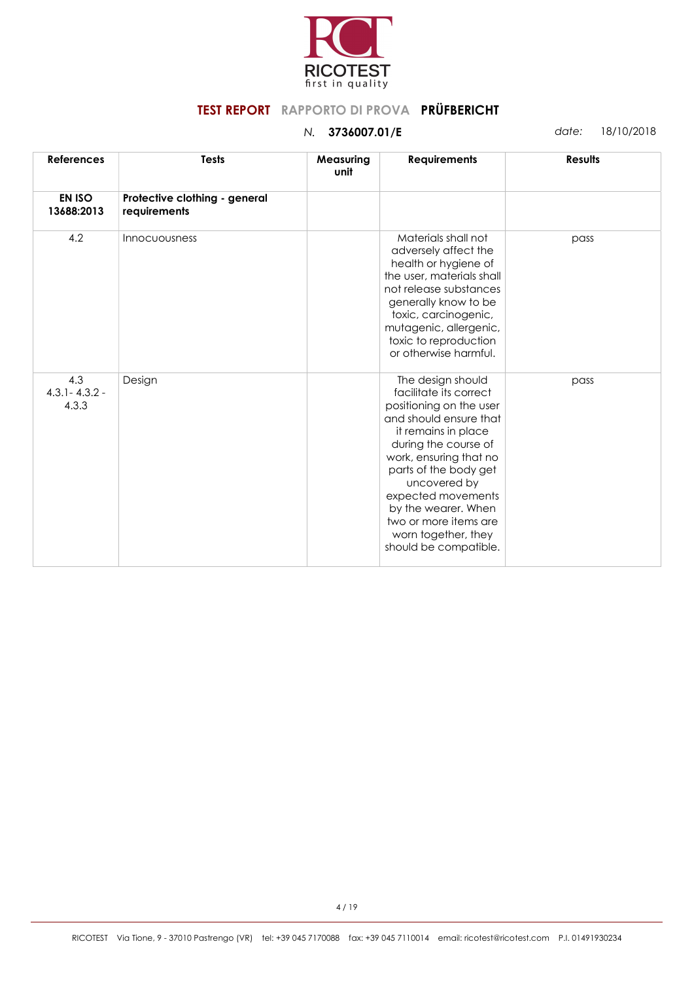

| <b>References</b>                 | <b>Tests</b>                                  | Measuring<br>unit | <b>Requirements</b>                                                                                                                                                                                                                                                                                                                      | <b>Results</b> |
|-----------------------------------|-----------------------------------------------|-------------------|------------------------------------------------------------------------------------------------------------------------------------------------------------------------------------------------------------------------------------------------------------------------------------------------------------------------------------------|----------------|
| <b>EN ISO</b><br>13688:2013       | Protective clothing - general<br>requirements |                   |                                                                                                                                                                                                                                                                                                                                          |                |
| 4.2                               | Innocuousness                                 |                   | Materials shall not<br>adversely affect the<br>health or hygiene of<br>the user, materials shall<br>not release substances<br>generally know to be<br>toxic, carcinogenic,<br>mutagenic, allergenic,<br>toxic to reproduction<br>or otherwise harmful.                                                                                   | pass           |
| 4.3<br>$4.3.1 - 4.3.2 -$<br>4.3.3 | Design                                        |                   | The design should<br>facilitate its correct<br>positioning on the user<br>and should ensure that<br>it remains in place<br>during the course of<br>work, ensuring that no<br>parts of the body get<br>uncovered by<br>expected movements<br>by the wearer. When<br>two or more items are<br>worn together, they<br>should be compatible. | pass           |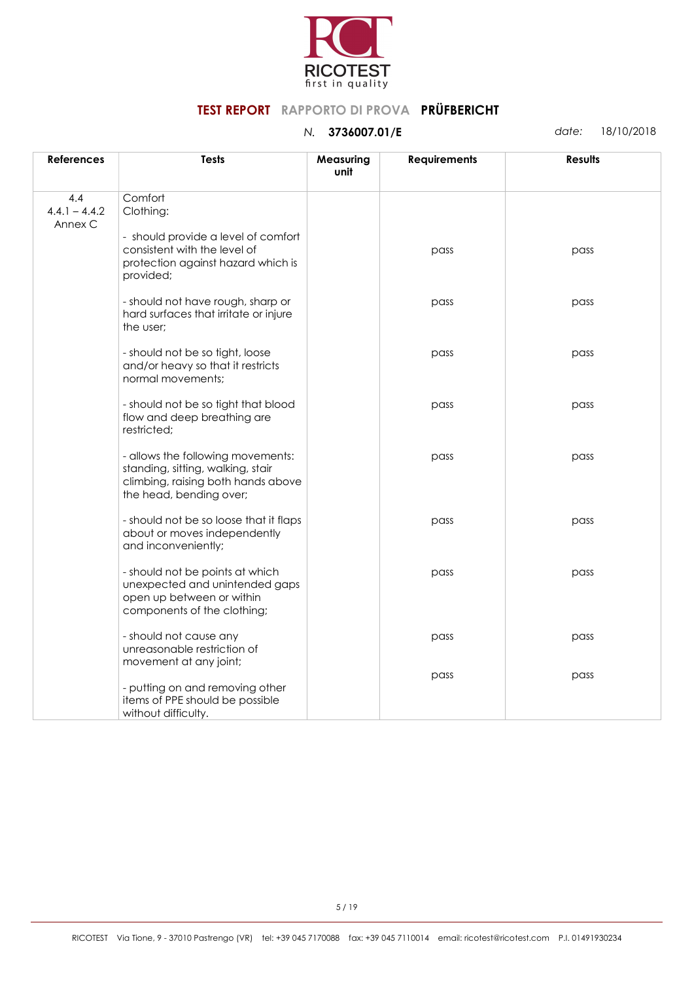

| <b>References</b>                 | <b>Tests</b>                                                                                                                            | Measuring<br>unit | <b>Requirements</b> | <b>Results</b> |
|-----------------------------------|-----------------------------------------------------------------------------------------------------------------------------------------|-------------------|---------------------|----------------|
| 4.4<br>$4.4.1 - 4.4.2$<br>Annex C | Comfort<br>Clothing:                                                                                                                    |                   |                     |                |
|                                   | - should provide a level of comfort<br>consistent with the level of<br>protection against hazard which is<br>provided;                  |                   | pass                | pass           |
|                                   | - should not have rough, sharp or<br>hard surfaces that irritate or injure<br>the user;                                                 |                   | pass                | pass           |
|                                   | - should not be so tight, loose<br>and/or heavy so that it restricts<br>normal movements;                                               |                   | pass                | pass           |
|                                   | - should not be so tight that blood<br>flow and deep breathing are<br>restricted;                                                       |                   | pass                | pass           |
|                                   | - allows the following movements:<br>standing, sitting, walking, stair<br>climbing, raising both hands above<br>the head, bending over; |                   | pass                | pass           |
|                                   | - should not be so loose that it flaps<br>about or moves independently<br>and inconveniently;                                           |                   | pass                | pass           |
|                                   | - should not be points at which<br>unexpected and unintended gaps<br>open up between or within<br>components of the clothing;           |                   | pass                | pass           |
|                                   | - should not cause any<br>unreasonable restriction of<br>movement at any joint;                                                         |                   | pass                | pass           |
|                                   | - putting on and removing other<br>items of PPE should be possible<br>without difficulty.                                               |                   | pass                | pass           |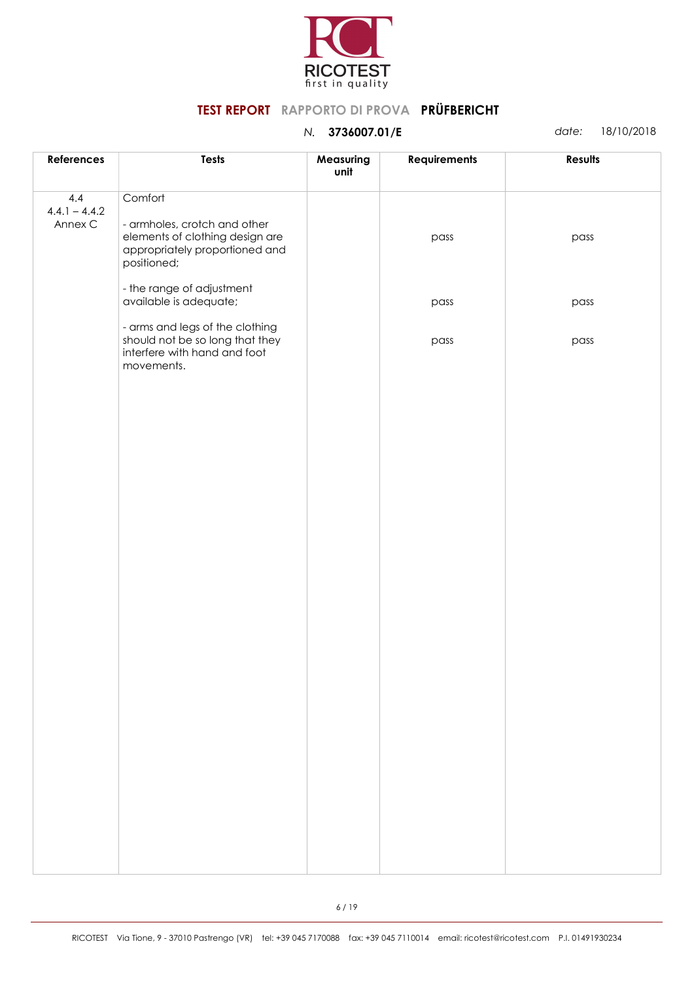

| References                        | <b>Tests</b>                                                                                                                | Measuring<br>unit | Requirements | <b>Results</b> |
|-----------------------------------|-----------------------------------------------------------------------------------------------------------------------------|-------------------|--------------|----------------|
| 4.4<br>$4.4.1 - 4.4.2$<br>Annex C | Comfort<br>- armholes, crotch and other<br>elements of clothing design are<br>appropriately proportioned and<br>positioned; |                   | pass         | pass           |
|                                   | - the range of adjustment<br>available is adequate;                                                                         |                   | pass         | pass           |
|                                   | - arms and legs of the clothing<br>should not be so long that they<br>interfere with hand and foot<br>movements.            |                   | pass         | pass           |
|                                   |                                                                                                                             |                   |              |                |
|                                   |                                                                                                                             |                   |              |                |
|                                   |                                                                                                                             |                   |              |                |
|                                   |                                                                                                                             |                   |              |                |
|                                   |                                                                                                                             |                   |              |                |
|                                   |                                                                                                                             |                   |              |                |
|                                   |                                                                                                                             |                   |              |                |
|                                   |                                                                                                                             |                   |              |                |
|                                   |                                                                                                                             |                   |              |                |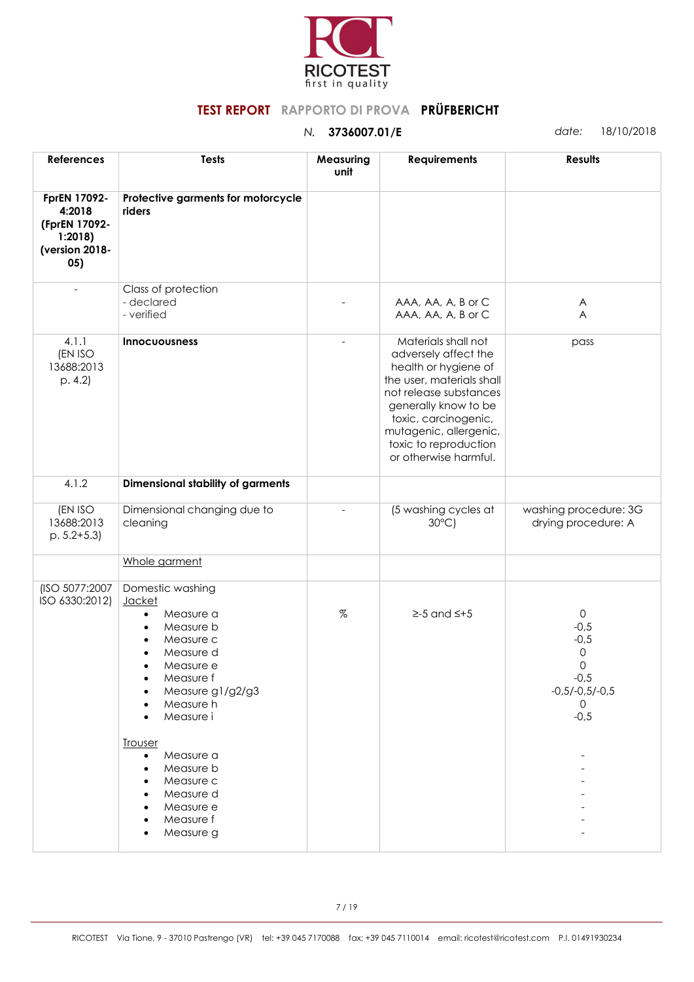

| <b>References</b>                                                          | <b>Tests</b>                                                                                                                                                                                                                                                                                         | Measuring<br>unit                                                                                                                                                                                                                                                                                                                                                                                                                                                                                                            | <b>Requirements</b>                                                                                                                                                                                                                                    | <b>Results</b>                                                                                            |
|----------------------------------------------------------------------------|------------------------------------------------------------------------------------------------------------------------------------------------------------------------------------------------------------------------------------------------------------------------------------------------------|------------------------------------------------------------------------------------------------------------------------------------------------------------------------------------------------------------------------------------------------------------------------------------------------------------------------------------------------------------------------------------------------------------------------------------------------------------------------------------------------------------------------------|--------------------------------------------------------------------------------------------------------------------------------------------------------------------------------------------------------------------------------------------------------|-----------------------------------------------------------------------------------------------------------|
| FprEN 17092-<br>4:2018<br>(FprEN 17092-<br>1:2018<br>(version 2018-<br>05) | Protective garments for motorcycle<br>riders                                                                                                                                                                                                                                                         |                                                                                                                                                                                                                                                                                                                                                                                                                                                                                                                              |                                                                                                                                                                                                                                                        |                                                                                                           |
| $\overline{\phantom{a}}$                                                   | Class of protection<br>- declared<br>- verified                                                                                                                                                                                                                                                      |                                                                                                                                                                                                                                                                                                                                                                                                                                                                                                                              | AAA, AA, A, B or C<br>AAA, AA, A, B or C                                                                                                                                                                                                               | A<br>A                                                                                                    |
| 4.1.1<br>(EN ISO<br>13688:2013<br>p. 4.2                                   | <b>Innocuousness</b>                                                                                                                                                                                                                                                                                 |                                                                                                                                                                                                                                                                                                                                                                                                                                                                                                                              | Materials shall not<br>adversely affect the<br>health or hygiene of<br>the user, materials shall<br>not release substances<br>generally know to be<br>toxic, carcinogenic,<br>mutagenic, allergenic,<br>toxic to reproduction<br>or otherwise harmful. | pass                                                                                                      |
| 4.1.2                                                                      | <b>Dimensional stability of garments</b>                                                                                                                                                                                                                                                             |                                                                                                                                                                                                                                                                                                                                                                                                                                                                                                                              |                                                                                                                                                                                                                                                        |                                                                                                           |
| (EN ISO<br>13688:2013<br>$p. 5.2 + 5.3$                                    | Dimensional changing due to<br>cleaning                                                                                                                                                                                                                                                              | $\overline{a}$                                                                                                                                                                                                                                                                                                                                                                                                                                                                                                               | (5 washing cycles at<br>$30^{\circ}$ C)                                                                                                                                                                                                                | washing procedure: 3G<br>drying procedure: A                                                              |
|                                                                            | Whole garment                                                                                                                                                                                                                                                                                        |                                                                                                                                                                                                                                                                                                                                                                                                                                                                                                                              |                                                                                                                                                                                                                                                        |                                                                                                           |
| (ISO 5077:2007<br>ISO 6330:2012)                                           | Domestic washing<br><b>Jacket</b><br>Measure a<br>$\bullet$<br>Measure b<br>Measure c<br>Measure d<br>Measure e<br>Measure f<br>Measure g1/g2/g3<br>Measure h<br>Measure i<br><b>Trouser</b><br>Measure a<br>$\bullet$<br>Measure b<br>Measure c<br>Measure d<br>Measure e<br>Measure f<br>Measure g | $% \mathcal{L}_{\mathrm{H}}\times\mathcal{H}_{\mathrm{H}}\times\mathcal{H}_{\mathrm{H}}\times\mathcal{H}_{\mathrm{H}}\times\mathcal{H}_{\mathrm{H}}\times\mathcal{H}_{\mathrm{H}}\times\mathcal{H}_{\mathrm{H}}\times\mathcal{H}_{\mathrm{H}}\times\mathcal{H}_{\mathrm{H}}\times\mathcal{H}_{\mathrm{H}}\times\mathcal{H}_{\mathrm{H}}\times\mathcal{H}_{\mathrm{H}}\times\mathcal{H}_{\mathrm{H}}\times\mathcal{H}_{\mathrm{H}}\times\mathcal{H}_{\mathrm{H}}\times\mathcal{H}_{\mathrm{H}}\times\mathcal{H}_{\mathrm{H}}$ | $\geq$ -5 and $\leq$ +5                                                                                                                                                                                                                                | $\mathsf{O}$<br>$-0,5$<br>$-0,5$<br>0<br>$\Omega$<br>$-0,5$<br>$-0.5/-0.5/-0.5$<br>$\mathsf{O}$<br>$-0,5$ |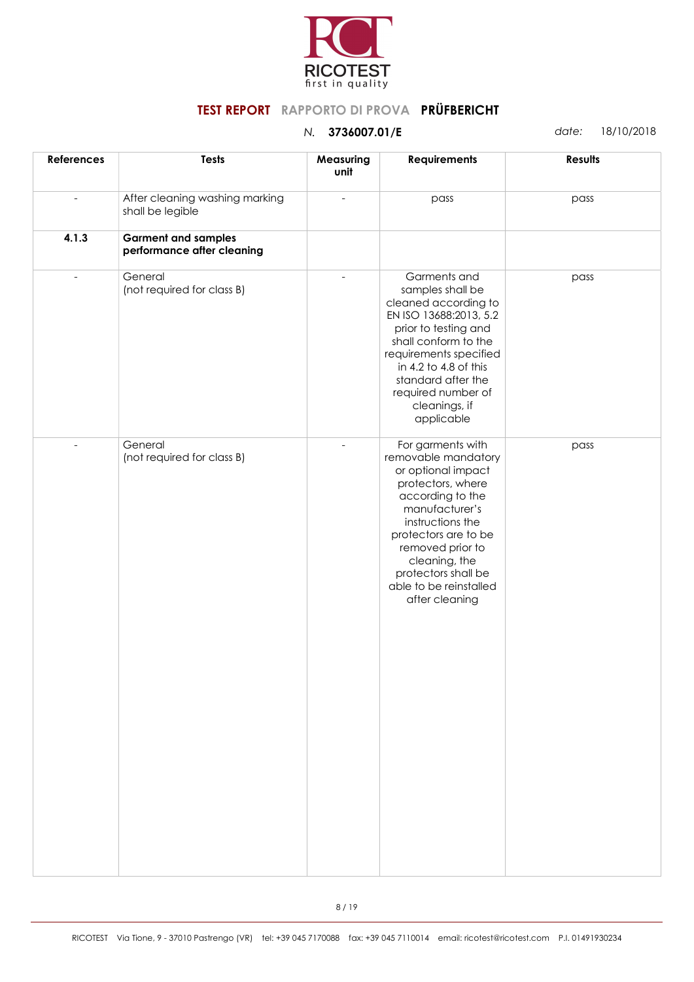

| <b>References</b>        | <b>Tests</b>                                             | Measuring<br>unit        | <b>Requirements</b>                                                                                                                                                                                                                                                           | <b>Results</b> |
|--------------------------|----------------------------------------------------------|--------------------------|-------------------------------------------------------------------------------------------------------------------------------------------------------------------------------------------------------------------------------------------------------------------------------|----------------|
| $\overline{\phantom{a}}$ | After cleaning washing marking<br>shall be legible       | $\overline{\phantom{a}}$ | pass                                                                                                                                                                                                                                                                          | pass           |
| 4.1.3                    | <b>Garment and samples</b><br>performance after cleaning |                          |                                                                                                                                                                                                                                                                               |                |
|                          | General<br>(not required for class B)                    | $\overline{a}$           | Garments and<br>samples shall be<br>cleaned according to<br>EN ISO 13688:2013, 5.2<br>prior to testing and<br>shall conform to the<br>requirements specified<br>in 4.2 to 4.8 of this<br>standard after the<br>required number of<br>cleanings, if<br>applicable              | pass           |
|                          | General<br>(not required for class B)                    |                          | For garments with<br>removable mandatory<br>or optional impact<br>protectors, where<br>according to the<br>manufacturer's<br>instructions the<br>protectors are to be<br>removed prior to<br>cleaning, the<br>protectors shall be<br>able to be reinstalled<br>after cleaning | pass           |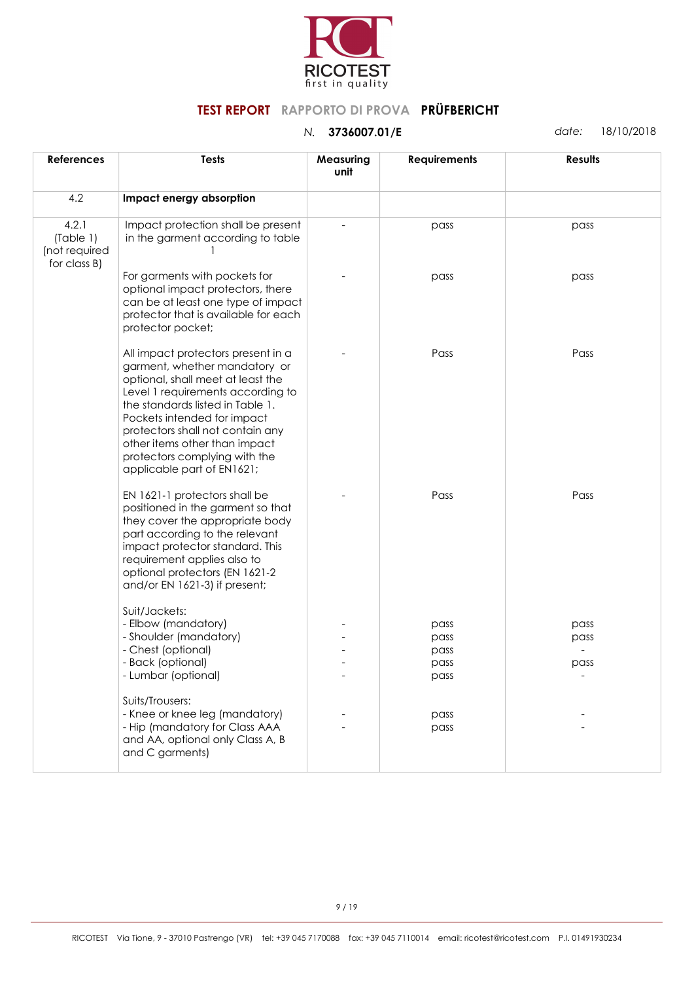

| <b>References</b>                                   | <b>Tests</b>                                                                                                                                                                                                                                                                                                                                         | Measuring<br>unit | <b>Requirements</b>                  | <b>Results</b>       |
|-----------------------------------------------------|------------------------------------------------------------------------------------------------------------------------------------------------------------------------------------------------------------------------------------------------------------------------------------------------------------------------------------------------------|-------------------|--------------------------------------|----------------------|
| 4.2                                                 | Impact energy absorption                                                                                                                                                                                                                                                                                                                             |                   |                                      |                      |
| 4.2.1<br>(Table 1)<br>(not required<br>for class B) | Impact protection shall be present<br>in the garment according to table                                                                                                                                                                                                                                                                              |                   | pass                                 | pass                 |
|                                                     | For garments with pockets for<br>optional impact protectors, there<br>can be at least one type of impact<br>protector that is available for each<br>protector pocket;                                                                                                                                                                                |                   | pass                                 | pass                 |
|                                                     | All impact protectors present in a<br>garment, whether mandatory or<br>optional, shall meet at least the<br>Level 1 requirements according to<br>the standards listed in Table 1.<br>Pockets intended for impact<br>protectors shall not contain any<br>other items other than impact<br>protectors complying with the<br>applicable part of EN1621; |                   | Pass                                 | Pass                 |
|                                                     | EN 1621-1 protectors shall be<br>positioned in the garment so that<br>they cover the appropriate body<br>part according to the relevant<br>impact protector standard. This<br>requirement applies also to<br>optional protectors (EN 1621-2<br>and/or EN 1621-3) if present;                                                                         |                   | Pass                                 | Pass                 |
|                                                     | Suit/Jackets:<br>- Elbow (mandatory)<br>- Shoulder (mandatory)<br>- Chest (optional)<br>- Back (optional)<br>- Lumbar (optional)                                                                                                                                                                                                                     |                   | pass<br>pass<br>pass<br>pass<br>pass | pass<br>pass<br>pass |
|                                                     | Suits/Trousers:<br>- Knee or knee leg (mandatory)<br>- Hip (mandatory for Class AAA<br>and AA, optional only Class A, B<br>and C garments)                                                                                                                                                                                                           |                   | pass<br>pass                         |                      |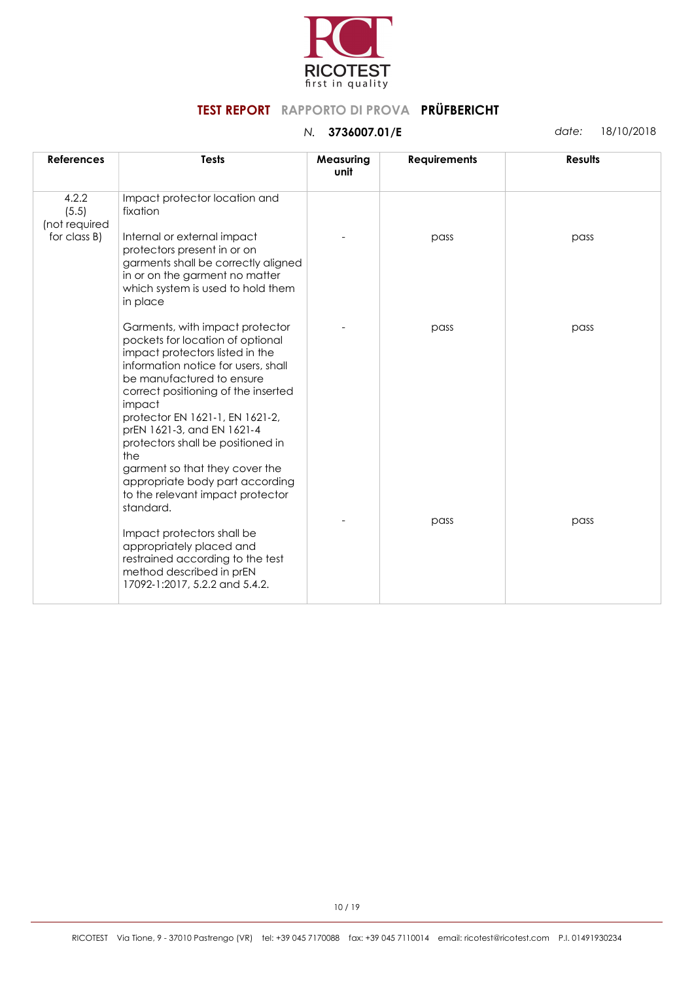

| <b>References</b>                               | <b>Tests</b>                                                                                                                                                                                                                                                                                                                                                                                                                                                   | Measuring<br>unit | <b>Requirements</b> | <b>Results</b> |
|-------------------------------------------------|----------------------------------------------------------------------------------------------------------------------------------------------------------------------------------------------------------------------------------------------------------------------------------------------------------------------------------------------------------------------------------------------------------------------------------------------------------------|-------------------|---------------------|----------------|
| 4.2.2<br>(5.5)<br>(not required<br>for class B) | Impact protector location and<br>fixation                                                                                                                                                                                                                                                                                                                                                                                                                      |                   |                     |                |
|                                                 | Internal or external impact<br>protectors present in or on<br>garments shall be correctly aligned<br>in or on the garment no matter<br>which system is used to hold them<br>in place                                                                                                                                                                                                                                                                           |                   | pass                | pass           |
|                                                 | Garments, with impact protector<br>pockets for location of optional<br>impact protectors listed in the<br>information notice for users, shall<br>be manufactured to ensure<br>correct positioning of the inserted<br>impact<br>protector EN 1621-1, EN 1621-2,<br>prEN 1621-3, and EN 1621-4<br>protectors shall be positioned in<br>the<br>garment so that they cover the<br>appropriate body part according<br>to the relevant impact protector<br>standard. |                   | pass                | pass           |
|                                                 | Impact protectors shall be<br>appropriately placed and<br>restrained according to the test<br>method described in prEN<br>17092-1:2017, 5.2.2 and 5.4.2.                                                                                                                                                                                                                                                                                                       |                   | pass                | pass           |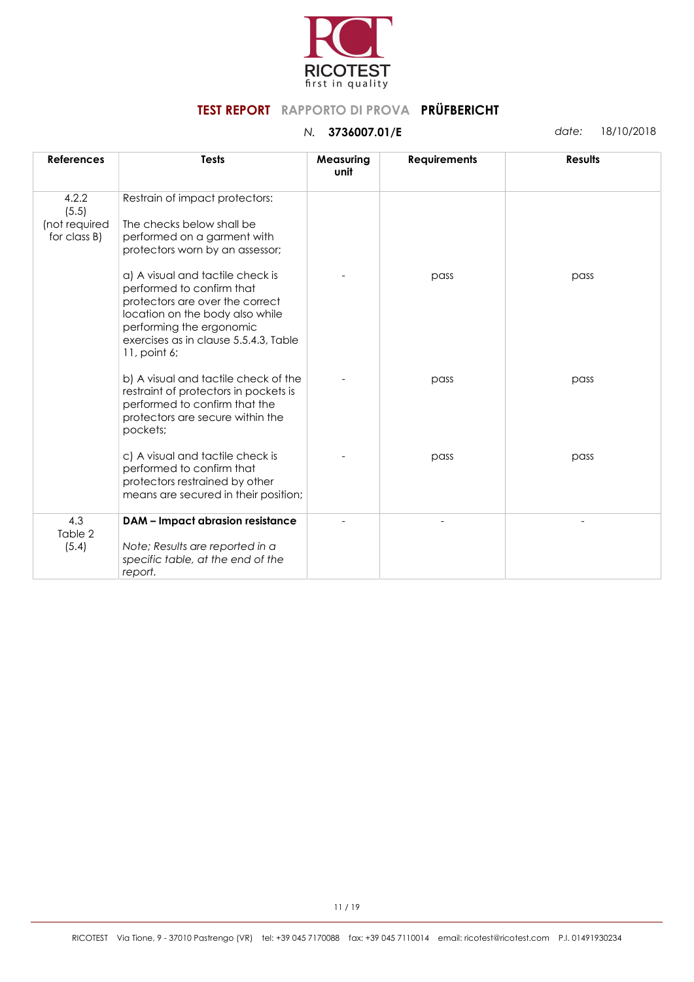

| <b>References</b>                               | <b>Tests</b>                                                                                                                                                                                                             | Measuring<br>unit | <b>Requirements</b> | <b>Results</b> |
|-------------------------------------------------|--------------------------------------------------------------------------------------------------------------------------------------------------------------------------------------------------------------------------|-------------------|---------------------|----------------|
| 4.2.2<br>(5.5)<br>(not required<br>for class B) | Restrain of impact protectors:<br>The checks below shall be<br>performed on a garment with<br>protectors worn by an assessor;                                                                                            |                   |                     |                |
|                                                 | a) A visual and tactile check is<br>performed to confirm that<br>protectors are over the correct<br>location on the body also while<br>performing the ergonomic<br>exercises as in clause 5.5.4.3, Table<br>11, point 6; |                   | pass                | pass           |
|                                                 | b) A visual and tactile check of the<br>restraint of protectors in pockets is<br>performed to confirm that the<br>protectors are secure within the<br>pockets;                                                           |                   | pass                | pass           |
|                                                 | c) A visual and tactile check is<br>performed to confirm that<br>protectors restrained by other<br>means are secured in their position;                                                                                  |                   | pass                | pass           |
| 4.3<br>Table 2<br>(5.4)                         | <b>DAM - Impact abrasion resistance</b><br>Note; Results are reported in a<br>specific table, at the end of the<br>report.                                                                                               |                   |                     |                |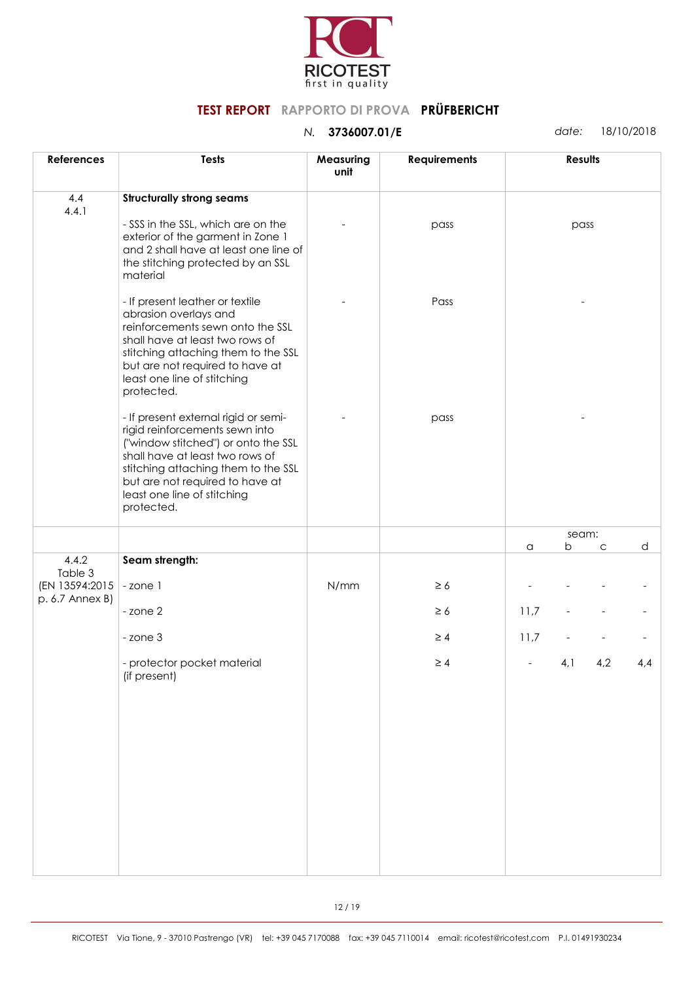

| <b>References</b>                 | <b>Tests</b>                                                                                                                                                                                                                                                            | Measuring<br>unit | <b>Requirements</b> |      | <b>Results</b> |             |     |
|-----------------------------------|-------------------------------------------------------------------------------------------------------------------------------------------------------------------------------------------------------------------------------------------------------------------------|-------------------|---------------------|------|----------------|-------------|-----|
| 4.4<br>4.4.1                      | <b>Structurally strong seams</b><br>- SSS in the SSL, which are on the<br>exterior of the garment in Zone 1<br>and 2 shall have at least one line of<br>the stitching protected by an SSL<br>material                                                                   |                   | pass                |      | pass           |             |     |
|                                   | - If present leather or textile<br>abrasion overlays and<br>reinforcements sewn onto the SSL<br>shall have at least two rows of<br>stitching attaching them to the SSL<br>but are not required to have at<br>least one line of stitching<br>protected.                  |                   | Pass                |      |                |             |     |
|                                   | - If present external rigid or semi-<br>rigid reinforcements sewn into<br>("window stitched") or onto the SSL<br>shall have at least two rows of<br>stitching attaching them to the SSL<br>but are not required to have at<br>least one line of stitching<br>protected. |                   | pass                |      |                |             |     |
|                                   |                                                                                                                                                                                                                                                                         |                   |                     | a    | seam:<br>b     | $\mathsf C$ | d   |
| 4.4.2<br>Table 3                  | Seam strength:                                                                                                                                                                                                                                                          |                   |                     |      |                |             |     |
| (EN 13594:2015<br>p. 6.7 Annex B) | -zone 1                                                                                                                                                                                                                                                                 | N/mm              | $\geq 6$            |      |                |             |     |
|                                   | - zone 2                                                                                                                                                                                                                                                                |                   | $\geq 6$            | 11,7 |                |             |     |
|                                   | - zone 3                                                                                                                                                                                                                                                                |                   | $\geq 4$            | 11,7 |                |             |     |
|                                   | - protector pocket material<br>(if present)                                                                                                                                                                                                                             |                   | $\geq 4$            |      | 4,1            | 4,2         | 4,4 |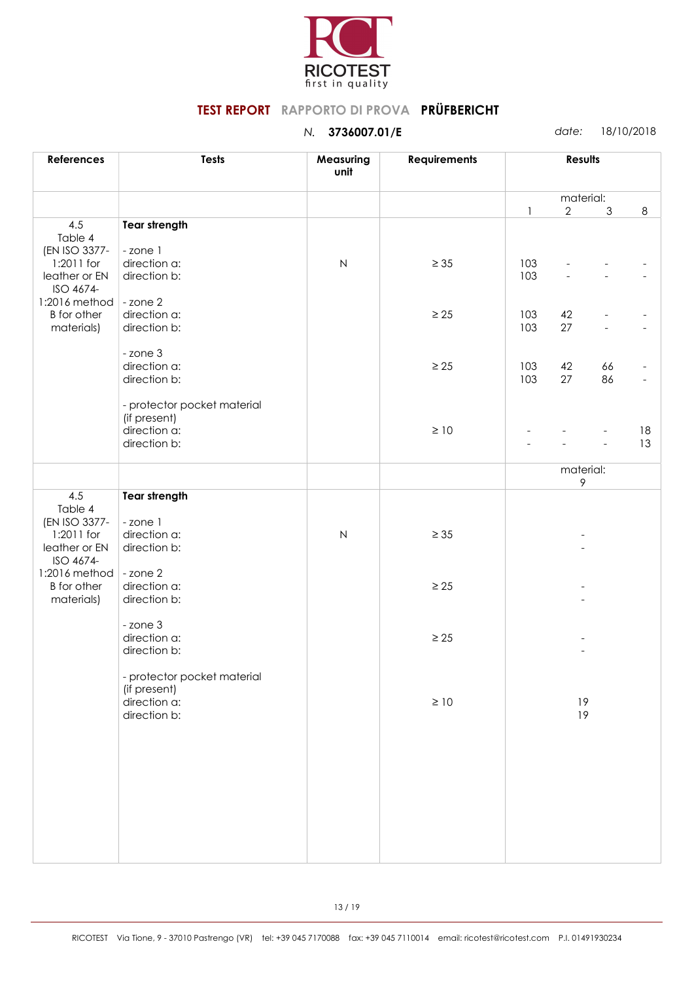

| <b>References</b>                        | <b>Tests</b>                                | Measuring<br>unit | <b>Requirements</b> | <b>Results</b> |                    |    |                          |
|------------------------------------------|---------------------------------------------|-------------------|---------------------|----------------|--------------------|----|--------------------------|
|                                          |                                             |                   |                     |                | material:          |    |                          |
|                                          |                                             |                   |                     | $\mathbf{1}$   | $\overline{2}$     | 3  | 8                        |
| 4.5<br>Table 4                           | <b>Tear strength</b>                        |                   |                     |                |                    |    |                          |
| (EN ISO 3377-                            | -zone 1                                     |                   |                     |                |                    |    |                          |
| 1:2011 for<br>leather or EN<br>ISO 4674- | direction a:<br>direction b:                | ${\sf N}$         | $\geq 35$           | 103<br>103     |                    |    |                          |
| 1:2016 method                            | - zone 2                                    |                   |                     |                |                    |    |                          |
| <b>B</b> for other<br>materials)         | direction a:<br>direction b:                |                   | $\geq 25$           | 103<br>103     | 42<br>27           |    |                          |
|                                          | - zone 3                                    |                   |                     |                |                    |    |                          |
|                                          | direction a:                                |                   | $\geq 25$           | 103            | 42                 | 66 |                          |
|                                          | direction b:                                |                   |                     | 103            | 27                 | 86 | $\overline{\phantom{a}}$ |
|                                          | - protector pocket material                 |                   |                     |                |                    |    |                          |
|                                          | (if present)                                |                   |                     |                |                    |    |                          |
|                                          | direction a:<br>direction b:                |                   | $\geq 10$           |                |                    |    | 18                       |
|                                          |                                             |                   |                     |                |                    |    | 13                       |
|                                          |                                             |                   |                     |                | material:<br>$\,9$ |    |                          |
| 4.5                                      | <b>Tear strength</b>                        |                   |                     |                |                    |    |                          |
| Table 4<br>(EN ISO 3377-                 | -zone 1                                     |                   |                     |                |                    |    |                          |
| 1:2011 for                               | direction a:                                | ${\sf N}$         | $\geq 35$           |                |                    |    |                          |
| leather or EN                            | direction b:                                |                   |                     |                |                    |    |                          |
| ISO 4674-                                |                                             |                   |                     |                |                    |    |                          |
| 1:2016 method<br><b>B</b> for other      | - zone 2<br>direction a:                    |                   | $\geq 25$           |                |                    |    |                          |
| materials)                               | direction b:                                |                   |                     |                |                    |    |                          |
|                                          |                                             |                   |                     |                |                    |    |                          |
|                                          | - zone 3<br>direction a:                    |                   | $\geq 25$           |                |                    |    |                          |
|                                          | direction b:                                |                   |                     |                |                    |    |                          |
|                                          |                                             |                   |                     |                |                    |    |                          |
|                                          | - protector pocket material<br>(if present) |                   |                     |                |                    |    |                          |
|                                          | direction a:                                |                   | $\geq 10$           |                | 19                 |    |                          |
|                                          | direction b:                                |                   |                     |                | 19                 |    |                          |
|                                          |                                             |                   |                     |                |                    |    |                          |
|                                          |                                             |                   |                     |                |                    |    |                          |
|                                          |                                             |                   |                     |                |                    |    |                          |
|                                          |                                             |                   |                     |                |                    |    |                          |
|                                          |                                             |                   |                     |                |                    |    |                          |
|                                          |                                             |                   |                     |                |                    |    |                          |
|                                          |                                             |                   |                     |                |                    |    |                          |
|                                          |                                             |                   |                     |                |                    |    |                          |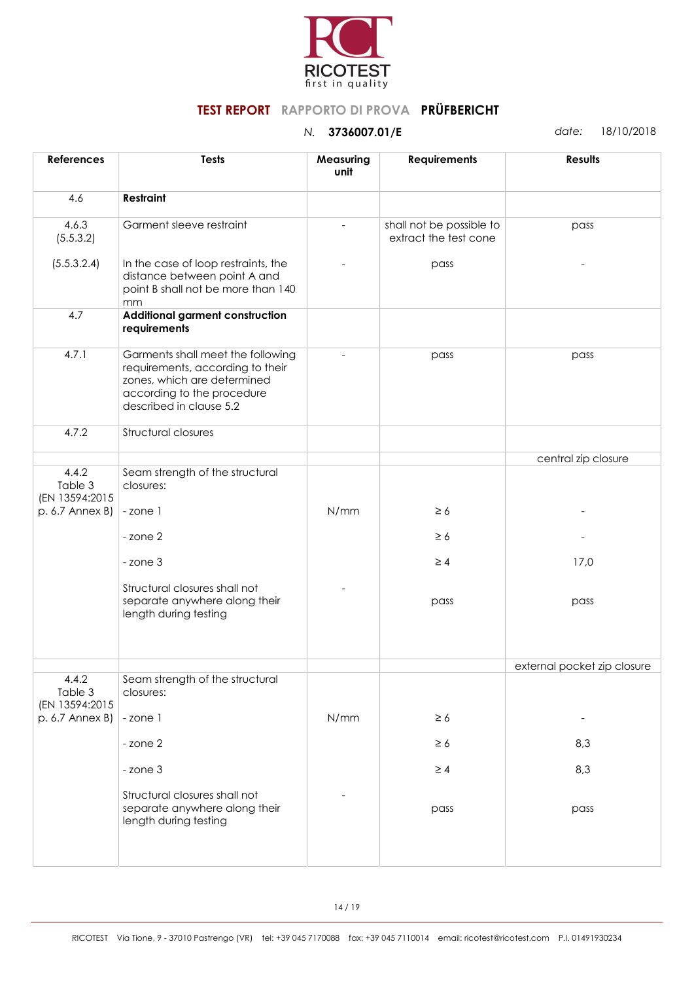

| <b>References</b>                  | <b>Tests</b>                                                                                                                                                  | Measuring<br>unit | <b>Requirements</b>                               | <b>Results</b>              |
|------------------------------------|---------------------------------------------------------------------------------------------------------------------------------------------------------------|-------------------|---------------------------------------------------|-----------------------------|
| 4.6                                | Restraint                                                                                                                                                     |                   |                                                   |                             |
| 4.6.3<br>(5.5.3.2)                 | Garment sleeve restraint                                                                                                                                      |                   | shall not be possible to<br>extract the test cone | pass                        |
| (5.5.3.2.4)                        | In the case of loop restraints, the<br>distance between point A and<br>point B shall not be more than 140<br>mm                                               |                   | pass                                              |                             |
| 4.7                                | Additional garment construction<br>requirements                                                                                                               |                   |                                                   |                             |
| 4.7.1                              | Garments shall meet the following<br>requirements, according to their<br>zones, which are determined<br>according to the procedure<br>described in clause 5.2 |                   | pass                                              | pass                        |
| 4.7.2                              | Structural closures                                                                                                                                           |                   |                                                   |                             |
|                                    |                                                                                                                                                               |                   |                                                   | central zip closure         |
| 4.4.2<br>Table 3<br>(EN 13594:2015 | Seam strength of the structural<br>closures:                                                                                                                  |                   |                                                   |                             |
| p. 6.7 Annex B)                    | -zone 1                                                                                                                                                       | N/mm              | $\geq 6$                                          |                             |
|                                    | - zone 2                                                                                                                                                      |                   | $\geq 6$                                          |                             |
|                                    | - zone 3                                                                                                                                                      |                   | $\geq 4$                                          | 17,0                        |
|                                    | Structural closures shall not<br>separate anywhere along their<br>length during testing                                                                       |                   | pass                                              | pass                        |
|                                    |                                                                                                                                                               |                   |                                                   |                             |
| 4.4.2<br>Table 3                   | Seam strength of the structural<br>closures:                                                                                                                  |                   |                                                   | external pocket zip closure |
| (EN 13594:2015<br>p. 6.7 Annex B)  | -zone 1                                                                                                                                                       | N/mm              | $\geq 6$                                          |                             |
|                                    | - zone 2                                                                                                                                                      |                   | $\geq 6$                                          | 8,3                         |
|                                    | - zone 3                                                                                                                                                      |                   | $\geq 4$                                          | 8,3                         |
|                                    | Structural closures shall not<br>separate anywhere along their<br>length during testing                                                                       |                   | pass                                              | pass                        |
|                                    |                                                                                                                                                               |                   |                                                   |                             |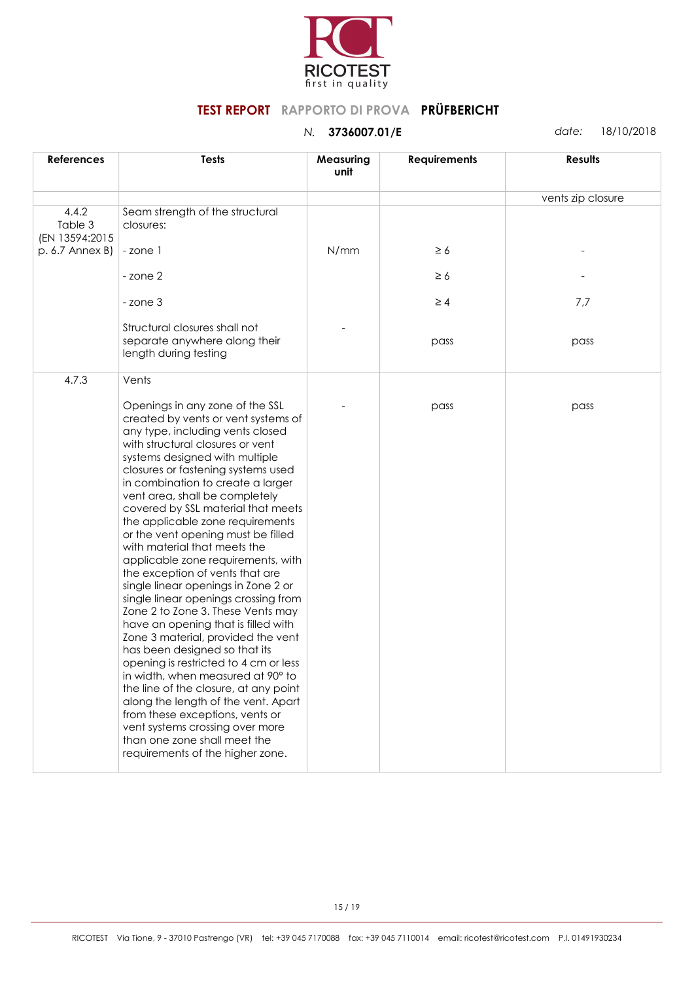

| <b>References</b>                  | <b>Tests</b>                                                                                                                                                                                                                                                                                                                                                                                                                                                                                                                                                                                                                                                                                                                                                                                                                                                                                                                                                                                                                                                     | Measuring<br>unit | <b>Requirements</b> | <b>Results</b>    |
|------------------------------------|------------------------------------------------------------------------------------------------------------------------------------------------------------------------------------------------------------------------------------------------------------------------------------------------------------------------------------------------------------------------------------------------------------------------------------------------------------------------------------------------------------------------------------------------------------------------------------------------------------------------------------------------------------------------------------------------------------------------------------------------------------------------------------------------------------------------------------------------------------------------------------------------------------------------------------------------------------------------------------------------------------------------------------------------------------------|-------------------|---------------------|-------------------|
|                                    |                                                                                                                                                                                                                                                                                                                                                                                                                                                                                                                                                                                                                                                                                                                                                                                                                                                                                                                                                                                                                                                                  |                   |                     | vents zip closure |
| 4.4.2<br>Table 3<br>(EN 13594:2015 | Seam strength of the structural<br>closures:                                                                                                                                                                                                                                                                                                                                                                                                                                                                                                                                                                                                                                                                                                                                                                                                                                                                                                                                                                                                                     |                   |                     |                   |
| p. 6.7 Annex B)                    | -zone 1                                                                                                                                                                                                                                                                                                                                                                                                                                                                                                                                                                                                                                                                                                                                                                                                                                                                                                                                                                                                                                                          | N/mm              | $\geq 6$            |                   |
|                                    | - zone 2                                                                                                                                                                                                                                                                                                                                                                                                                                                                                                                                                                                                                                                                                                                                                                                                                                                                                                                                                                                                                                                         |                   | $\geq 6$            |                   |
|                                    | - zone 3                                                                                                                                                                                                                                                                                                                                                                                                                                                                                                                                                                                                                                                                                                                                                                                                                                                                                                                                                                                                                                                         |                   | $\geq 4$            | 7,7               |
|                                    | Structural closures shall not<br>separate anywhere along their<br>length during testing                                                                                                                                                                                                                                                                                                                                                                                                                                                                                                                                                                                                                                                                                                                                                                                                                                                                                                                                                                          |                   | pass                | pass              |
| 4.7.3                              | Vents                                                                                                                                                                                                                                                                                                                                                                                                                                                                                                                                                                                                                                                                                                                                                                                                                                                                                                                                                                                                                                                            |                   |                     |                   |
|                                    | Openings in any zone of the SSL<br>created by vents or vent systems of<br>any type, including vents closed<br>with structural closures or vent<br>systems designed with multiple<br>closures or fastening systems used<br>in combination to create a larger<br>vent area, shall be completely<br>covered by SSL material that meets<br>the applicable zone requirements<br>or the vent opening must be filled<br>with material that meets the<br>applicable zone requirements, with<br>the exception of vents that are<br>single linear openings in Zone 2 or<br>single linear openings crossing from<br>Zone 2 to Zone 3. These Vents may<br>have an opening that is filled with<br>Zone 3 material, provided the vent<br>has been designed so that its<br>opening is restricted to 4 cm or less<br>in width, when measured at 90° to<br>the line of the closure, at any point<br>along the length of the vent. Apart<br>from these exceptions, vents or<br>vent systems crossing over more<br>than one zone shall meet the<br>requirements of the higher zone. |                   | pass                | pass              |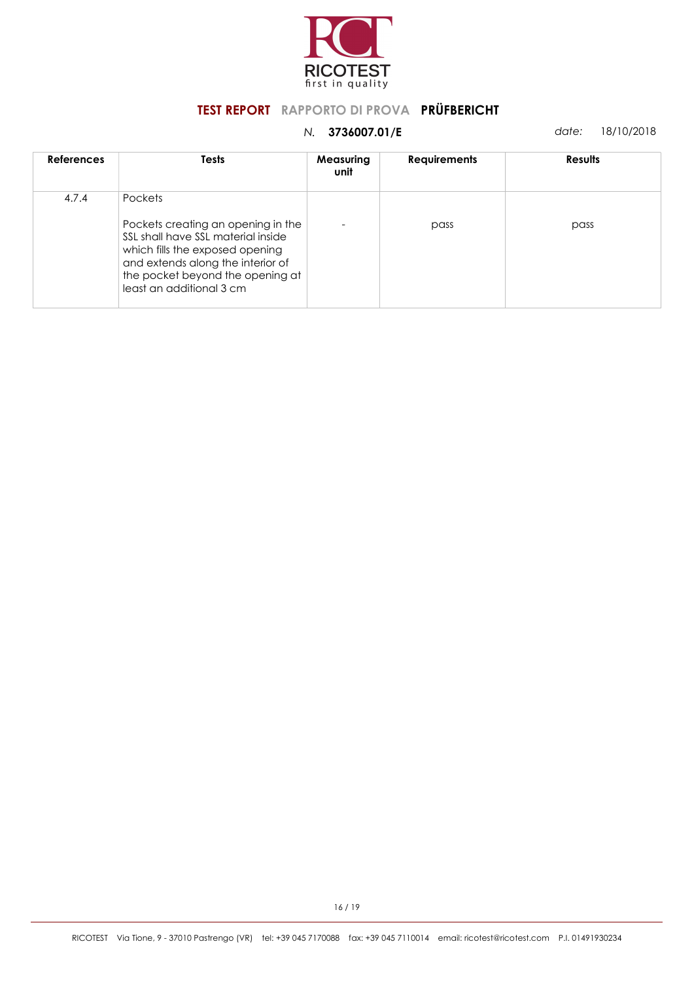

| <b>References</b> | Tests                                                                                                                                                                                                                              | Measuring<br>unit | <b>Requirements</b> | <b>Results</b> |
|-------------------|------------------------------------------------------------------------------------------------------------------------------------------------------------------------------------------------------------------------------------|-------------------|---------------------|----------------|
| 4.7.4             | <b>Pockets</b><br>Pockets creating an opening in the<br>SSL shall have SSL material inside<br>which fills the exposed opening<br>and extends along the interior of<br>the pocket beyond the opening at<br>least an additional 3 cm |                   | pass                | pass           |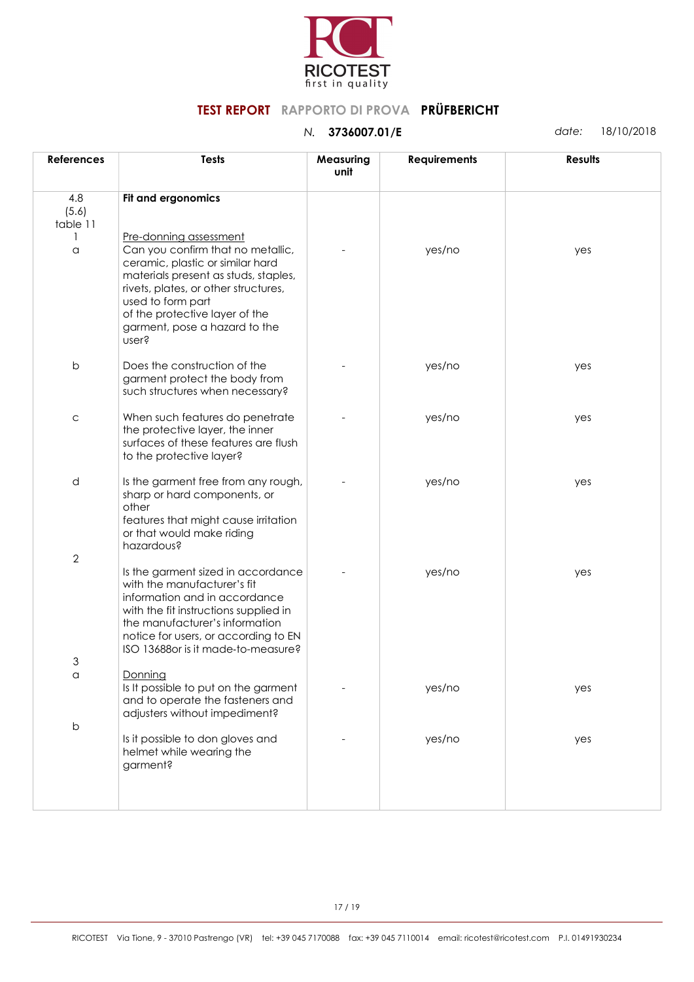

| <b>References</b>        | <b>Tests</b>                                                                                                                                                                                                                                                                            | Measuring<br>unit | <b>Requirements</b> | <b>Results</b> |
|--------------------------|-----------------------------------------------------------------------------------------------------------------------------------------------------------------------------------------------------------------------------------------------------------------------------------------|-------------------|---------------------|----------------|
| 4.8<br>(5.6)<br>table 11 | Fit and ergonomics                                                                                                                                                                                                                                                                      |                   |                     |                |
| 1<br>a                   | Pre-donning assessment<br>Can you confirm that no metallic,<br>ceramic, plastic or similar hard<br>materials present as studs, staples,<br>rivets, plates, or other structures,<br>used to form part<br>of the protective layer of the<br>garment, pose a hazard to the<br><b>user?</b> |                   | yes/no              | yes            |
| $\sf b$                  | Does the construction of the<br>garment protect the body from<br>such structures when necessary?                                                                                                                                                                                        |                   | yes/no              | yes            |
| $\mathsf C$              | When such features do penetrate<br>the protective layer, the inner<br>surfaces of these features are flush<br>to the protective layer?                                                                                                                                                  |                   | yes/no              | yes            |
| d                        | Is the garment free from any rough,<br>sharp or hard components, or<br>other<br>features that might cause irritation<br>or that would make riding<br>hazardous?                                                                                                                         |                   | yes/no              | yes            |
| $\overline{2}$           | Is the garment sized in accordance<br>with the manufacturer's fit<br>information and in accordance<br>with the fit instructions supplied in<br>the manufacturer's information<br>notice for users, or according to EN<br>ISO 13688 or is it made-to-measure?                            |                   | yes/no              | yes            |
| 3                        |                                                                                                                                                                                                                                                                                         |                   |                     |                |
| a                        | Donning<br>Is It possible to put on the garment<br>and to operate the fasteners and<br>adjusters without impediment?                                                                                                                                                                    |                   | yes/no              | yes            |
| $\mathsf b$              | Is it possible to don gloves and<br>helmet while wearing the<br>garment?                                                                                                                                                                                                                |                   | yes/no              | yes            |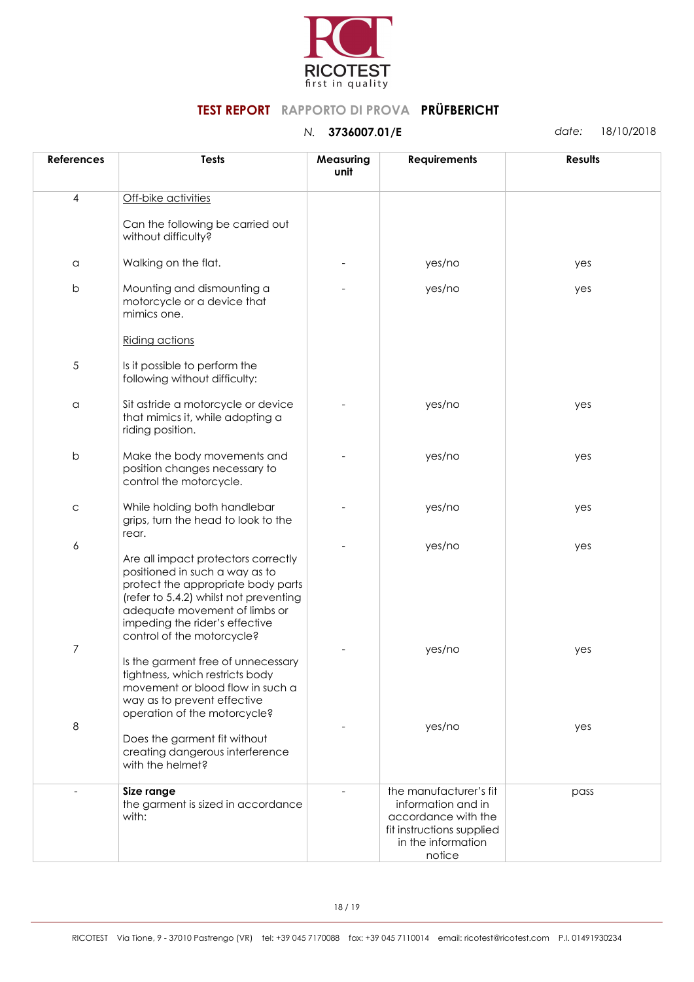

| <b>References</b> | <b>Tests</b>                                                                                                                                                                                                                                           | Measuring<br>unit | <b>Requirements</b>                                                                                                              | <b>Results</b> |
|-------------------|--------------------------------------------------------------------------------------------------------------------------------------------------------------------------------------------------------------------------------------------------------|-------------------|----------------------------------------------------------------------------------------------------------------------------------|----------------|
| 4                 | Off-bike activities                                                                                                                                                                                                                                    |                   |                                                                                                                                  |                |
|                   | Can the following be carried out<br>without difficulty?                                                                                                                                                                                                |                   |                                                                                                                                  |                |
| $\alpha$          | Walking on the flat.                                                                                                                                                                                                                                   |                   | yes/no                                                                                                                           | yes            |
| $\sf b$           | Mounting and dismounting a<br>motorcycle or a device that<br>mimics one.                                                                                                                                                                               |                   | yes/no                                                                                                                           | yes            |
|                   | Riding actions                                                                                                                                                                                                                                         |                   |                                                                                                                                  |                |
| $\sqrt{5}$        | Is it possible to perform the<br>following without difficulty:                                                                                                                                                                                         |                   |                                                                                                                                  |                |
| $\alpha$          | Sit astride a motorcycle or device<br>that mimics it, while adopting a<br>riding position.                                                                                                                                                             |                   | yes/no                                                                                                                           | yes            |
| $\sf b$           | Make the body movements and<br>position changes necessary to<br>control the motorcycle.                                                                                                                                                                |                   | yes/no                                                                                                                           | yes            |
| $\mathsf C$       | While holding both handlebar<br>grips, turn the head to look to the<br>rear.                                                                                                                                                                           |                   | yes/no                                                                                                                           | yes            |
| 6                 | Are all impact protectors correctly<br>positioned in such a way as to<br>protect the appropriate body parts<br>(refer to 5.4.2) whilst not preventing<br>adequate movement of limbs or<br>impeding the rider's effective<br>control of the motorcycle? |                   | yes/no                                                                                                                           | yes            |
| $\overline{7}$    | Is the garment free of unnecessary<br>tightness, which restricts body<br>movement or blood flow in such a<br>way as to prevent effective<br>operation of the motorcycle?                                                                               |                   | yes/no                                                                                                                           | yes            |
| $\,8\,$           | Does the garment fit without<br>creating dangerous interference<br>with the helmet?                                                                                                                                                                    |                   | yes/no                                                                                                                           | yes            |
|                   | Size range<br>the garment is sized in accordance<br>with:                                                                                                                                                                                              |                   | the manufacturer's fit<br>information and in<br>accordance with the<br>fit instructions supplied<br>in the information<br>notice | pass           |